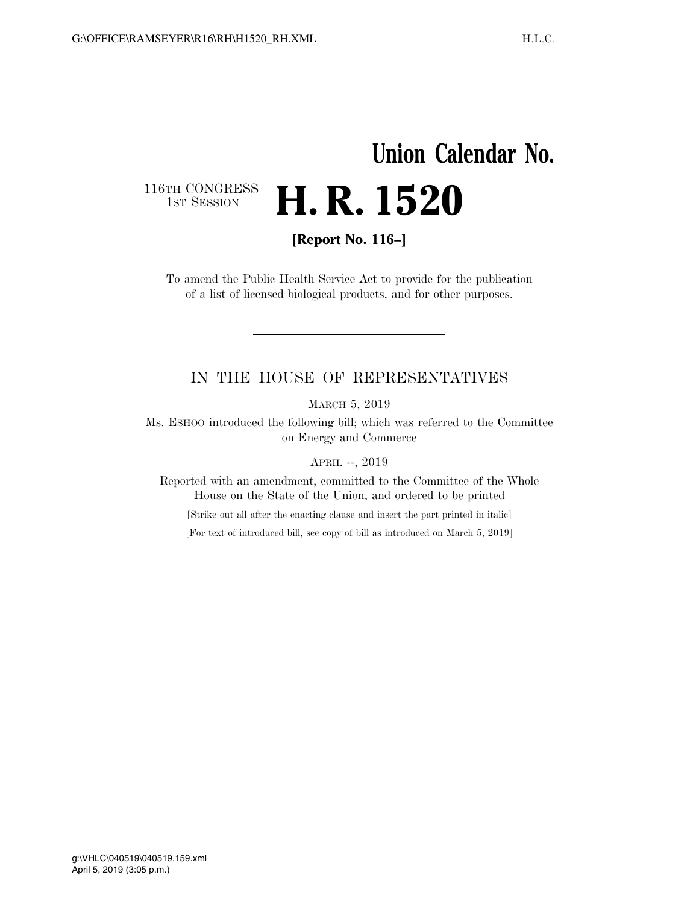## **Union Calendar No.**  116TH CONGRESS<br>1st Session **H. R. 1520**

**[Report No. 116–]** 

To amend the Public Health Service Act to provide for the publication of a list of licensed biological products, and for other purposes.

## IN THE HOUSE OF REPRESENTATIVES

MARCH 5, 2019

Ms. ESHOO introduced the following bill; which was referred to the Committee on Energy and Commerce

APRIL --, 2019

Reported with an amendment, committed to the Committee of the Whole House on the State of the Union, and ordered to be printed

[Strike out all after the enacting clause and insert the part printed in italic]

[For text of introduced bill, see copy of bill as introduced on March 5, 2019]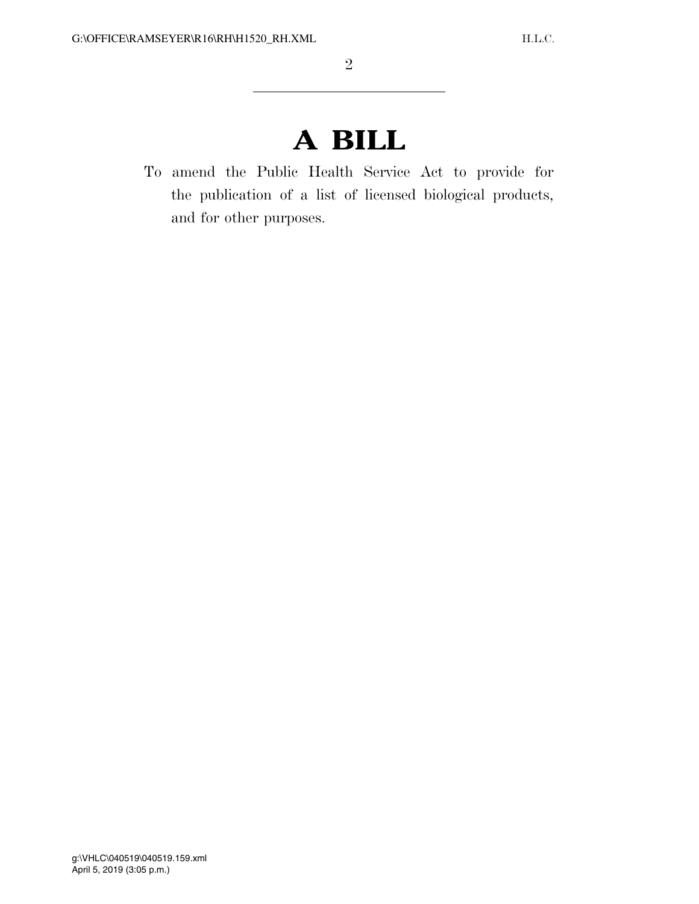## **A BILL**

To amend the Public Health Service Act to provide for the publication of a list of licensed biological products, and for other purposes.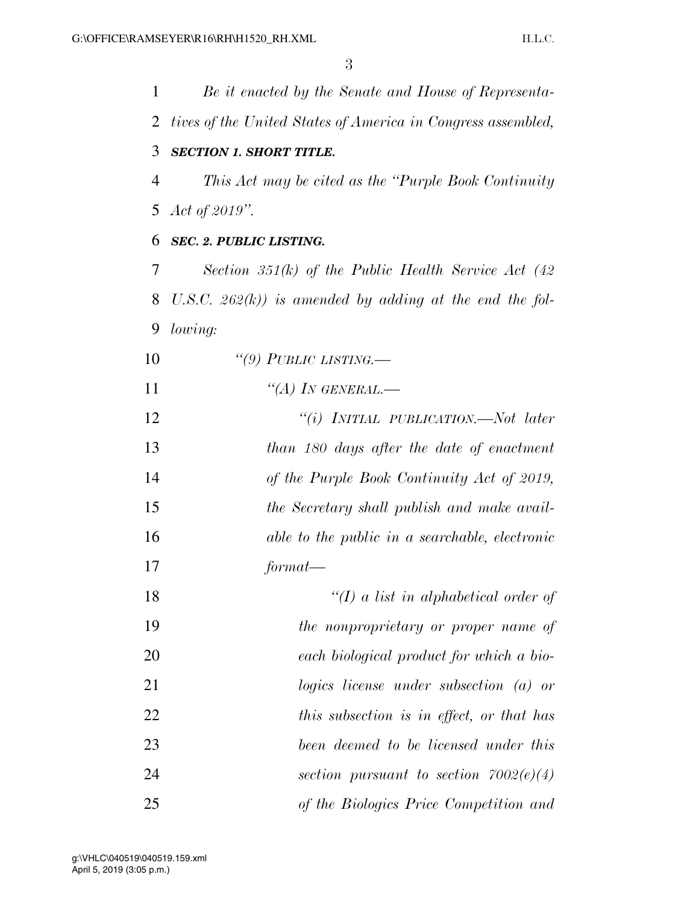| 1              | Be it enacted by the Senate and House of Representa-         |
|----------------|--------------------------------------------------------------|
| 2              | tives of the United States of America in Congress assembled, |
| 3              | <b>SECTION 1. SHORT TITLE.</b>                               |
| $\overline{4}$ | This Act may be cited as the "Purple Book Continuity"        |
| 5              | Act of $2019$ ".                                             |
| 6              | <b>SEC. 2. PUBLIC LISTING.</b>                               |
| 7              | Section 351(k) of the Public Health Service Act $(42)$       |
| 8              | U.S.C. $262(k)$ ) is amended by adding at the end the fol-   |
| 9              | lowing:                                                      |
| 10             | "(9) PUBLIC LISTING.—                                        |
| 11             | "(A) IN GENERAL.—                                            |
| 12             | "(i) INITIAL PUBLICATION.—Not later                          |
| 13             | than 180 days after the date of enactment                    |
| 14             | of the Purple Book Continuity Act of 2019,                   |
| 15             | the Secretary shall publish and make avail-                  |
| 16             | able to the public in a searchable, electronic               |
| 17             | format-                                                      |
| 18             | " $(I)$ a list in alphabetical order of                      |
| 19             | the nonproprietary or proper name of                         |
| 20             | each biological product for which a bio-                     |
| 21             | $logics$ license under subsection (a) or                     |
| 22             | this subsection is in effect, or that has                    |
| 23             | been deemed to be licensed under this                        |
| 24             | section pursuant to section $7002(e)(4)$                     |
| 25             | of the Biologics Price Competition and                       |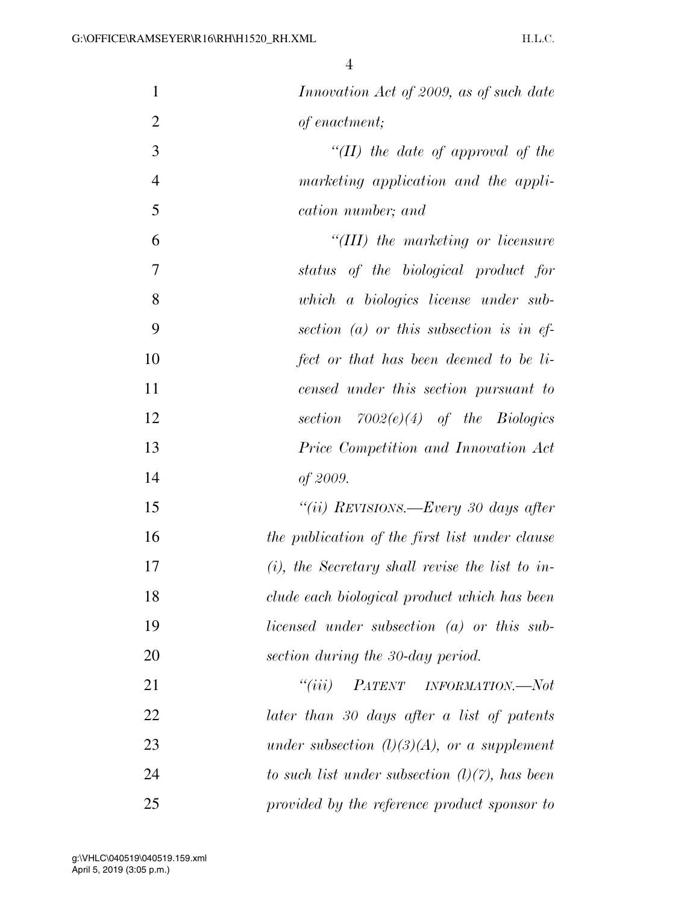| $\mathbf{1}$   | Innovation Act of 2009, as of such date            |
|----------------|----------------------------------------------------|
| $\overline{2}$ | of enactment;                                      |
| 3              | "(II) the date of approval of the                  |
| $\overline{4}$ | marketing application and the appli-               |
| 5              | cation number; and                                 |
| 6              | $``(III)$ the marketing or licensure               |
| 7              | status of the biological product for               |
| 8              | which a biologics license under sub-               |
| 9              | section $(a)$ or this subsection is in ef-         |
| 10             | fect or that has been deemed to be li-             |
| 11             | censed under this section pursuant to              |
| 12             | section $7002(e)(4)$ of the Biologics              |
| 13             | Price Competition and Innovation Act               |
| 14             | of 2009.                                           |
| 15             | "(ii) REVISIONS.—Every 30 days after               |
| 16             | the publication of the first list under clause     |
| 17             | $(i)$ , the Secretary shall revise the list to in- |
| 18             | clude each biological product which has been       |
| 19             | licensed under subsection (a) or this sub-         |
| 20             | section during the 30-day period.                  |
| 21             | ``(iii)<br>PATENT INFORMATION.—Not                 |
| 22             | later than 30 days after a list of patents         |
| 23             | under subsection $(l)(3)(A)$ , or a supplement     |
| 24             | to such list under subsection $(l)(7)$ , has been  |
| 25             | provided by the reference product sponsor to       |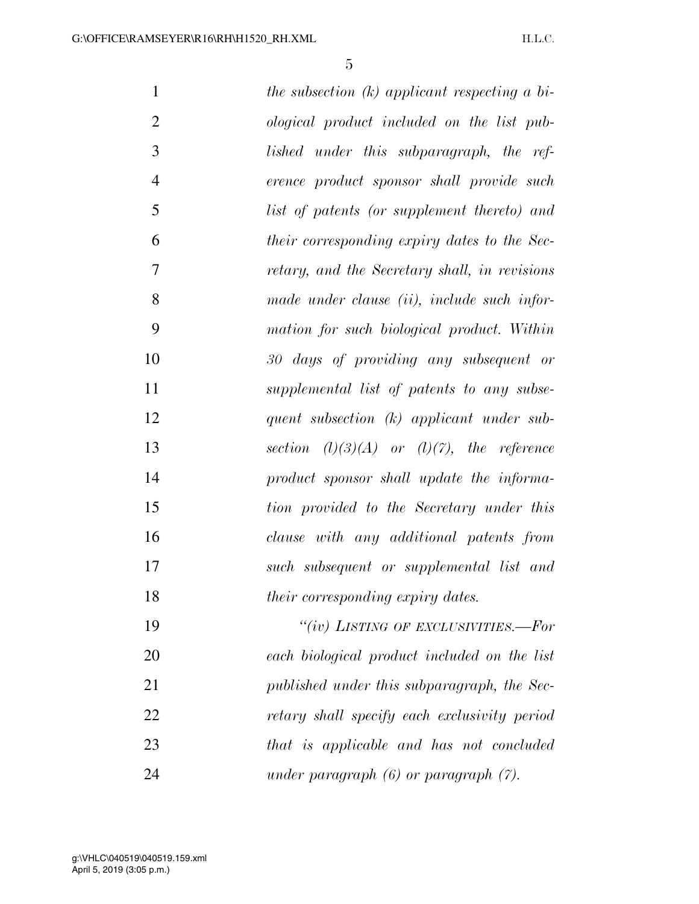| $\mathbf{1}$   | the subsection $(k)$ applicant respecting a bi- |
|----------------|-------------------------------------------------|
| $\overline{2}$ | ological product included on the list pub-      |
| 3              | lished under this subparagraph, the ref-        |
| $\overline{4}$ | erence product sponsor shall provide such       |
| 5              | list of patents (or supplement thereto) and     |
| 6              | their corresponding expiry dates to the Sec-    |
| 7              | retary, and the Secretary shall, in revisions   |
| 8              | made under clause (ii), include such infor-     |
| 9              | mation for such biological product. Within      |
| 10             | 30 days of providing any subsequent or          |
| 11             | supplemental list of patents to any subse-      |
| 12             | quent subsection $(k)$ applicant under sub-     |
| 13             | section $(l)(3)(A)$ or $(l)(7)$ , the reference |
| 14             | product sponsor shall update the informa-       |
| 15             | tion provided to the Secretary under this       |
| 16             | clause with any additional patents from         |
| 17             | such subsequent or supplemental list and        |
| 18             | their corresponding expiry dates.               |
| 19             | "(iv) LISTING OF EXCLUSIVITIES.—For             |
| 20             | each biological product included on the list    |
| 21             | published under this subparagraph, the Sec-     |
| 22             | retary shall specify each exclusivity period    |
| 23             | that is applicable and has not concluded        |
| 24             | under paragraph $(6)$ or paragraph $(7)$ .      |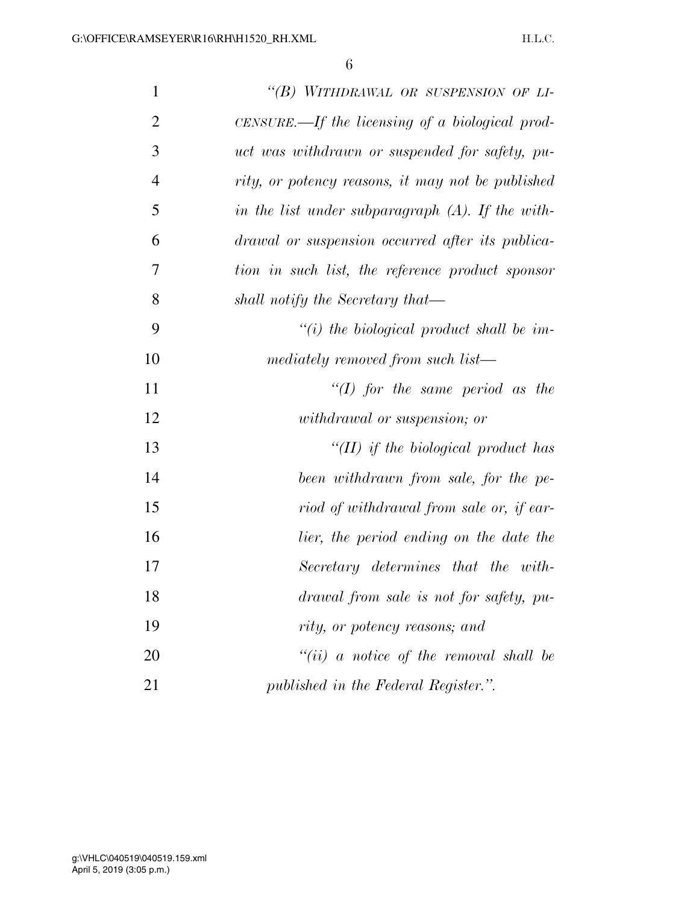| $\mathbf{1}$   | "(B) WITHDRAWAL OR SUSPENSION OF LI-                |
|----------------|-----------------------------------------------------|
| $\overline{2}$ | $CENSURE$ .—If the licensing of a biological prod-  |
| 3              | uct was withdrawn or suspended for safety, pu-      |
| $\overline{4}$ | rity, or potency reasons, it may not be published   |
| 5              | in the list under subparagraph $(A)$ . If the with- |
| 6              | drawal or suspension occurred after its publica-    |
| 7              | tion in such list, the reference product sponsor    |
| 8              | shall notify the Secretary that—                    |
| 9              | $\lq\lq(i)$ the biological product shall be im-     |
| 10             | mediately removed from such list—                   |
| 11             | "(I) for the same period as the                     |
| 12             | <i>withdrawal</i> or suspension; or                 |
| 13             | " $(II)$ if the biological product has              |
| 14             | been withdrawn from sale, for the pe-               |
| 15             | riod of withdrawal from sale or, if ear-            |
| 16             | lier, the period ending on the date the             |
| 17             | Secretary determines that the with-                 |
| 18             | drawal from sale is not for safety, pu-             |
| 19             | rity, or potency reasons; and                       |
| 20             | $``(ii)$ a notice of the removal shall be           |
| 21             | published in the Federal Register.".                |